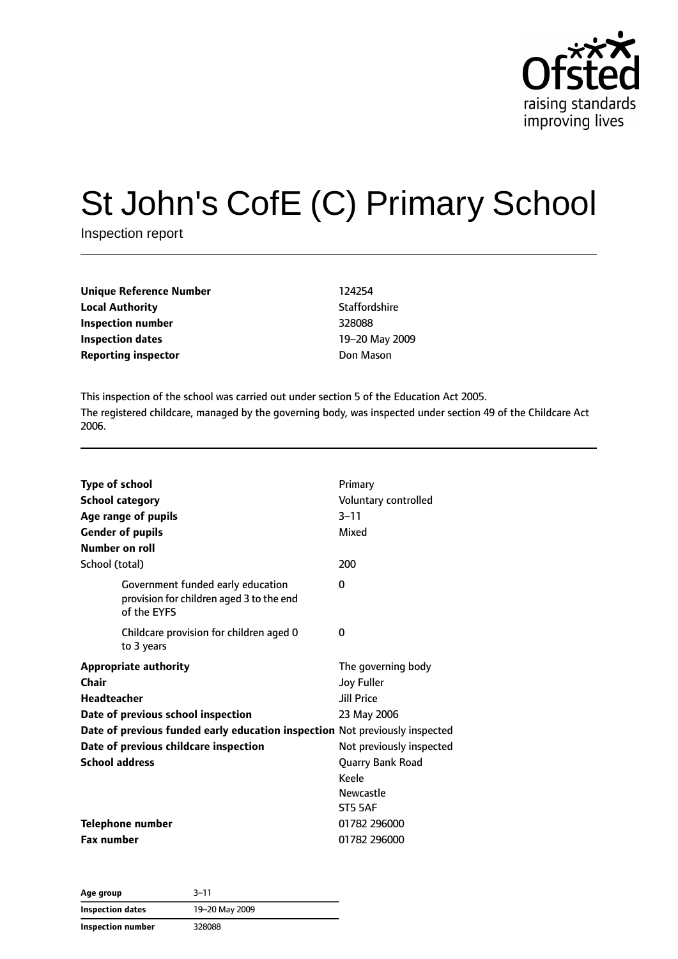

# St John's CofE (C) Primary School

Inspection report

| <b>Unique Reference Number</b> | 124254       |
|--------------------------------|--------------|
| <b>Local Authority</b>         | Staffordshir |
| Inspection number              | 328088       |
| Inspection dates               | 19-20 May    |
| <b>Reporting inspector</b>     | Don Mason    |

**Staffordshire Inspection number** 328088 **Inspection dates** 19–20 May 2009

This inspection of the school was carried out under section 5 of the Education Act 2005. The registered childcare, managed by the governing body, was inspected under section 49 of the Childcare Act 2006.

| <b>Type of school</b><br><b>School category</b><br>Age range of pupils<br><b>Gender of pupils</b><br>Number on roll | Primary<br>Voluntary controlled<br>$3 - 11$<br>Mixed |
|---------------------------------------------------------------------------------------------------------------------|------------------------------------------------------|
| School (total)                                                                                                      | 200                                                  |
| Government funded early education<br>provision for children aged 3 to the end<br>of the EYFS                        | 0                                                    |
| Childcare provision for children aged 0<br>to 3 years                                                               | 0                                                    |
| <b>Appropriate authority</b>                                                                                        | The governing body                                   |
| Chair                                                                                                               | <b>Joy Fuller</b>                                    |
| <b>Headteacher</b>                                                                                                  | <b>Jill Price</b>                                    |
| Date of previous school inspection                                                                                  | 23 May 2006                                          |
| Date of previous funded early education inspection Not previously inspected                                         |                                                      |
| Date of previous childcare inspection                                                                               | Not previously inspected                             |
| <b>School address</b>                                                                                               | Quarry Bank Road                                     |
|                                                                                                                     | Keele                                                |
|                                                                                                                     | <b>Newcastle</b>                                     |
|                                                                                                                     | ST5 5AF                                              |
| <b>Telephone number</b>                                                                                             | 01782 296000                                         |
| <b>Fax number</b>                                                                                                   | 01782 296000                                         |

| Age group         | $3 - 11$       |  |
|-------------------|----------------|--|
| Inspection dates  | 19-20 May 2009 |  |
| Inspection number | 328088         |  |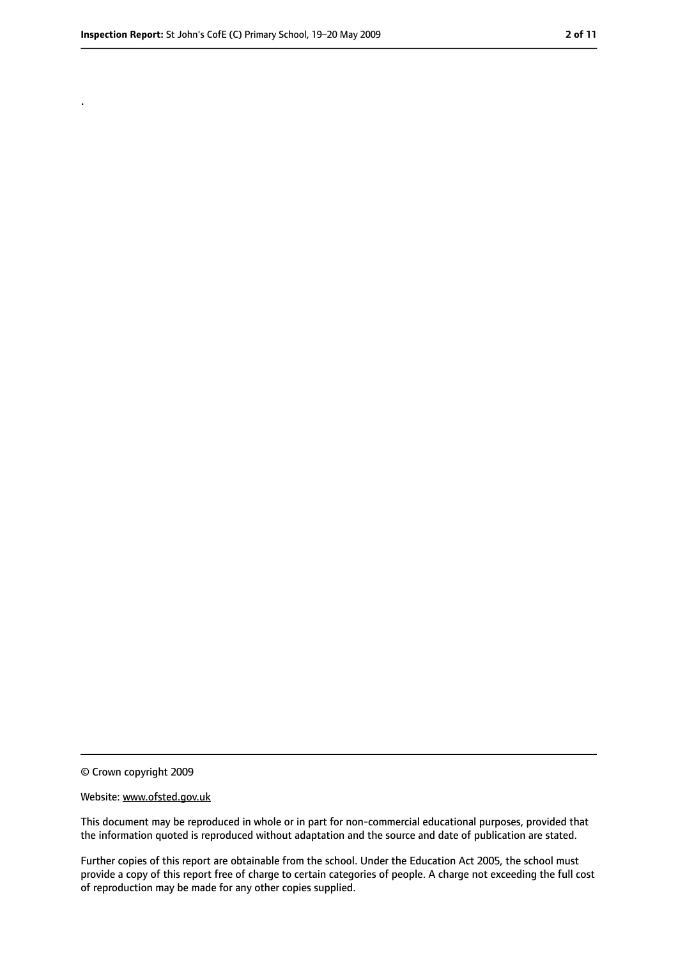.

<sup>©</sup> Crown copyright 2009

Website: www.ofsted.gov.uk

This document may be reproduced in whole or in part for non-commercial educational purposes, provided that the information quoted is reproduced without adaptation and the source and date of publication are stated.

Further copies of this report are obtainable from the school. Under the Education Act 2005, the school must provide a copy of this report free of charge to certain categories of people. A charge not exceeding the full cost of reproduction may be made for any other copies supplied.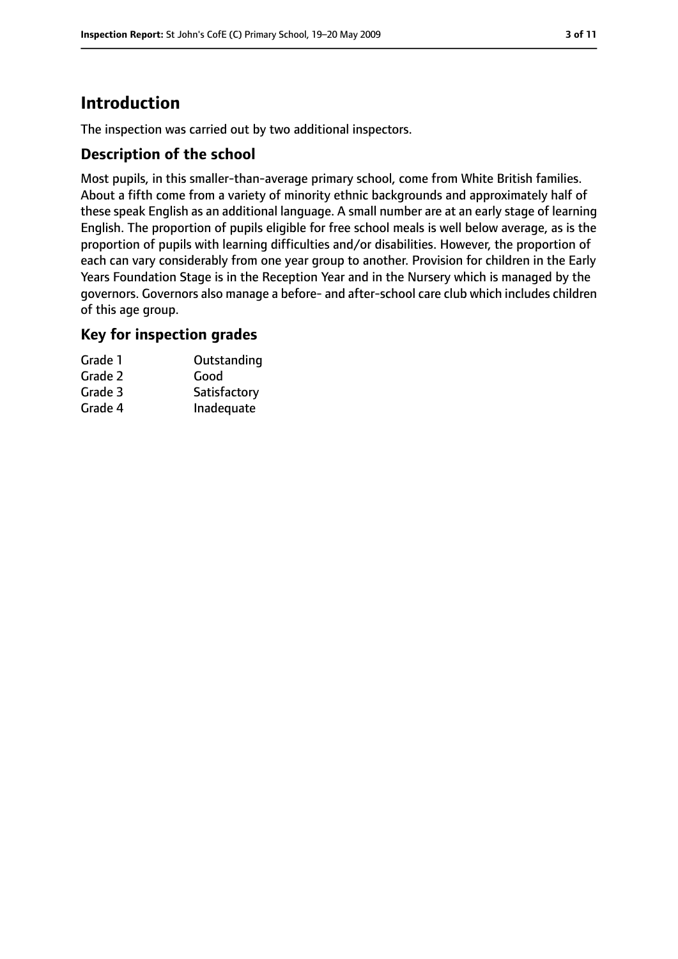# **Introduction**

The inspection was carried out by two additional inspectors.

#### **Description of the school**

Most pupils, in this smaller-than-average primary school, come from White British families. About a fifth come from a variety of minority ethnic backgrounds and approximately half of these speak English as an additional language. A small number are at an early stage of learning English. The proportion of pupils eligible for free school meals is well below average, as is the proportion of pupils with learning difficulties and/or disabilities. However, the proportion of each can vary considerably from one year group to another. Provision for children in the Early Years Foundation Stage is in the Reception Year and in the Nursery which is managed by the governors. Governors also manage a before- and after-school care club which includes children of this age group.

### **Key for inspection grades**

| Grade 1 | Outstanding  |
|---------|--------------|
| Grade 2 | Good         |
| Grade 3 | Satisfactory |
| Grade 4 | Inadequate   |
|         |              |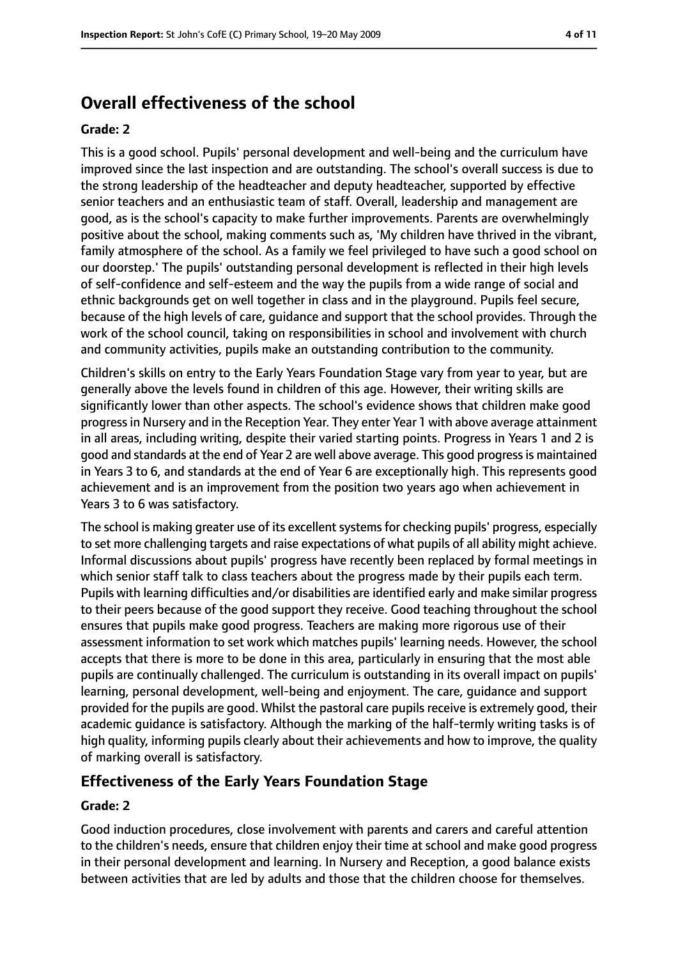# **Overall effectiveness of the school**

#### **Grade: 2**

This is a good school. Pupils' personal development and well-being and the curriculum have improved since the last inspection and are outstanding. The school's overall success is due to the strong leadership of the headteacher and deputy headteacher, supported by effective senior teachers and an enthusiastic team of staff. Overall, leadership and management are good, as is the school's capacity to make further improvements. Parents are overwhelmingly positive about the school, making comments such as, 'My children have thrived in the vibrant, family atmosphere of the school. As a family we feel privileged to have such a good school on our doorstep.' The pupils' outstanding personal development is reflected in their high levels of self-confidence and self-esteem and the way the pupils from a wide range of social and ethnic backgrounds get on well together in class and in the playground. Pupils feel secure, because of the high levels of care, guidance and support that the school provides. Through the work of the school council, taking on responsibilities in school and involvement with church and community activities, pupils make an outstanding contribution to the community.

Children's skills on entry to the Early Years Foundation Stage vary from year to year, but are generally above the levels found in children of this age. However, their writing skills are significantly lower than other aspects. The school's evidence shows that children make good progressin Nursery and in the Reception Year. They enter Year 1 with above average attainment in all areas, including writing, despite their varied starting points. Progress in Years 1 and 2 is good and standards at the end of Year 2 are well above average. This good progressis maintained in Years 3 to 6, and standards at the end of Year 6 are exceptionally high. This represents good achievement and is an improvement from the position two years ago when achievement in Years 3 to 6 was satisfactory.

The school is making greater use of its excellent systems for checking pupils' progress, especially to set more challenging targets and raise expectations of what pupils of all ability might achieve. Informal discussions about pupils' progress have recently been replaced by formal meetings in which senior staff talk to class teachers about the progress made by their pupils each term. Pupils with learning difficulties and/or disabilities are identified early and make similar progress to their peers because of the good support they receive. Good teaching throughout the school ensures that pupils make good progress. Teachers are making more rigorous use of their assessment information to set work which matches pupils' learning needs. However, the school accepts that there is more to be done in this area, particularly in ensuring that the most able pupils are continually challenged. The curriculum is outstanding in its overall impact on pupils' learning, personal development, well-being and enjoyment. The care, guidance and support provided for the pupils are good. Whilst the pastoral care pupils receive is extremely good, their academic guidance is satisfactory. Although the marking of the half-termly writing tasks is of high quality, informing pupils clearly about their achievements and how to improve, the quality of marking overall is satisfactory.

### **Effectiveness of the Early Years Foundation Stage**

#### **Grade: 2**

Good induction procedures, close involvement with parents and carers and careful attention to the children's needs, ensure that children enjoy their time at school and make good progress in their personal development and learning. In Nursery and Reception, a good balance exists between activities that are led by adults and those that the children choose for themselves.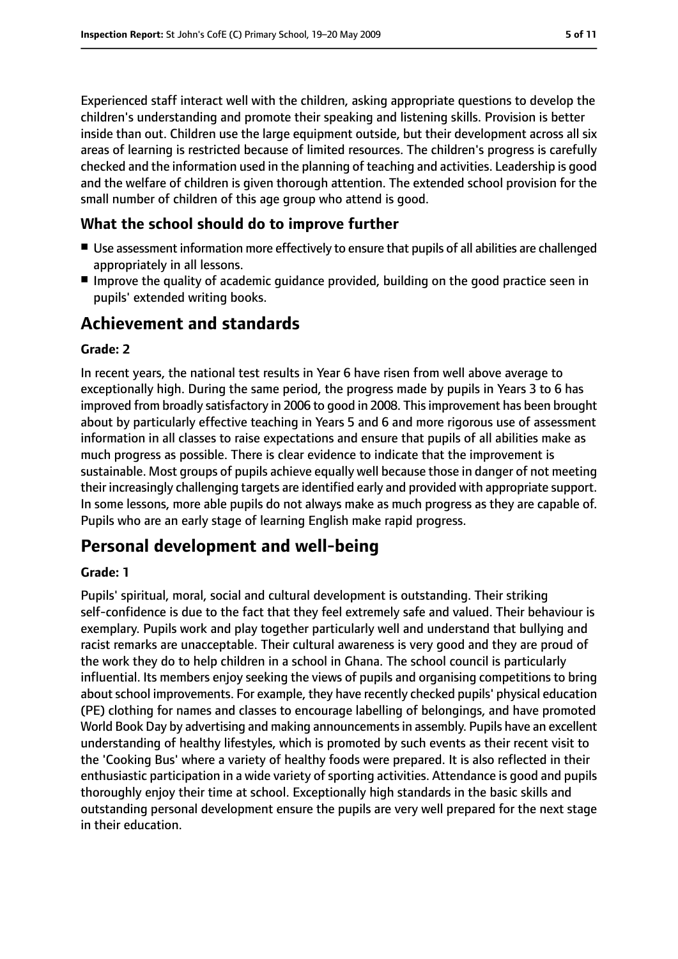Experienced staff interact well with the children, asking appropriate questions to develop the children's understanding and promote their speaking and listening skills. Provision is better inside than out. Children use the large equipment outside, but their development across all six areas of learning is restricted because of limited resources. The children's progress is carefully checked and the information used in the planning of teaching and activities. Leadership is good and the welfare of children is given thorough attention. The extended school provision for the small number of children of this age group who attend is good.

#### **What the school should do to improve further**

- Use assessment information more effectively to ensure that pupils of all abilities are challenged appropriately in all lessons.
- Improve the quality of academic guidance provided, building on the good practice seen in pupils' extended writing books.

# **Achievement and standards**

#### **Grade: 2**

In recent years, the national test results in Year 6 have risen from well above average to exceptionally high. During the same period, the progress made by pupils in Years 3 to 6 has improved from broadly satisfactory in 2006 to good in 2008. This improvement has been brought about by particularly effective teaching in Years 5 and 6 and more rigorous use of assessment information in all classes to raise expectations and ensure that pupils of all abilities make as much progress as possible. There is clear evidence to indicate that the improvement is sustainable. Most groups of pupils achieve equally well because those in danger of not meeting their increasingly challenging targets are identified early and provided with appropriate support. In some lessons, more able pupils do not always make as much progress as they are capable of. Pupils who are an early stage of learning English make rapid progress.

# **Personal development and well-being**

#### **Grade: 1**

Pupils' spiritual, moral, social and cultural development is outstanding. Their striking self-confidence is due to the fact that they feel extremely safe and valued. Their behaviour is exemplary. Pupils work and play together particularly well and understand that bullying and racist remarks are unacceptable. Their cultural awareness is very good and they are proud of the work they do to help children in a school in Ghana. The school council is particularly influential. Its members enjoy seeking the views of pupils and organising competitions to bring about school improvements. For example, they have recently checked pupils' physical education (PE) clothing for names and classes to encourage labelling of belongings, and have promoted World Book Day by advertising and making announcements in assembly. Pupils have an excellent understanding of healthy lifestyles, which is promoted by such events as their recent visit to the 'Cooking Bus' where a variety of healthy foods were prepared. It is also reflected in their enthusiastic participation in a wide variety of sporting activities. Attendance is good and pupils thoroughly enjoy their time at school. Exceptionally high standards in the basic skills and outstanding personal development ensure the pupils are very well prepared for the next stage in their education.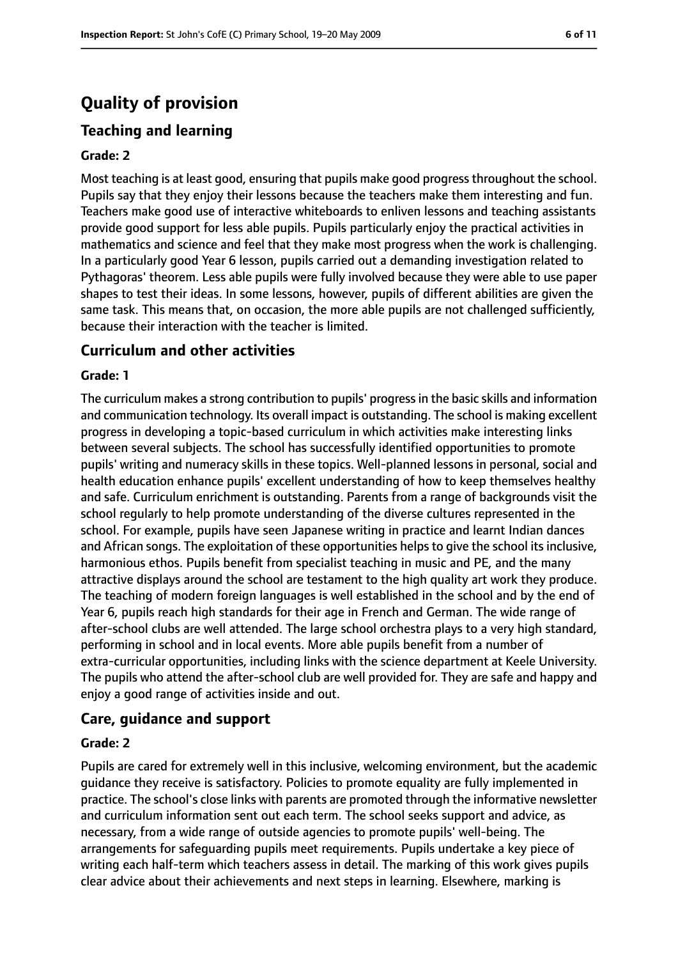# **Quality of provision**

# **Teaching and learning**

#### **Grade: 2**

Most teaching is at least good, ensuring that pupils make good progress throughout the school. Pupils say that they enjoy their lessons because the teachers make them interesting and fun. Teachers make good use of interactive whiteboards to enliven lessons and teaching assistants provide good support for less able pupils. Pupils particularly enjoy the practical activities in mathematics and science and feel that they make most progress when the work is challenging. In a particularly good Year 6 lesson, pupils carried out a demanding investigation related to Pythagoras' theorem. Less able pupils were fully involved because they were able to use paper shapes to test their ideas. In some lessons, however, pupils of different abilities are given the same task. This means that, on occasion, the more able pupils are not challenged sufficiently, because their interaction with the teacher is limited.

#### **Curriculum and other activities**

#### **Grade: 1**

The curriculum makes a strong contribution to pupils' progress in the basic skills and information and communication technology. Its overall impact is outstanding. The school is making excellent progress in developing a topic-based curriculum in which activities make interesting links between several subjects. The school has successfully identified opportunities to promote pupils' writing and numeracy skills in these topics. Well-planned lessons in personal, social and health education enhance pupils' excellent understanding of how to keep themselves healthy and safe. Curriculum enrichment is outstanding. Parents from a range of backgrounds visit the school regularly to help promote understanding of the diverse cultures represented in the school. For example, pupils have seen Japanese writing in practice and learnt Indian dances and African songs. The exploitation of these opportunities helps to give the school its inclusive, harmonious ethos. Pupils benefit from specialist teaching in music and PE, and the many attractive displays around the school are testament to the high quality art work they produce. The teaching of modern foreign languages is well established in the school and by the end of Year 6, pupils reach high standards for their age in French and German. The wide range of after-school clubs are well attended. The large school orchestra plays to a very high standard, performing in school and in local events. More able pupils benefit from a number of extra-curricular opportunities, including links with the science department at Keele University. The pupils who attend the after-school club are well provided for. They are safe and happy and enjoy a good range of activities inside and out.

#### **Care, guidance and support**

#### **Grade: 2**

Pupils are cared for extremely well in this inclusive, welcoming environment, but the academic guidance they receive is satisfactory. Policies to promote equality are fully implemented in practice. The school's close links with parents are promoted through the informative newsletter and curriculum information sent out each term. The school seeks support and advice, as necessary, from a wide range of outside agencies to promote pupils' well-being. The arrangements for safeguarding pupils meet requirements. Pupils undertake a key piece of writing each half-term which teachers assess in detail. The marking of this work gives pupils clear advice about their achievements and next steps in learning. Elsewhere, marking is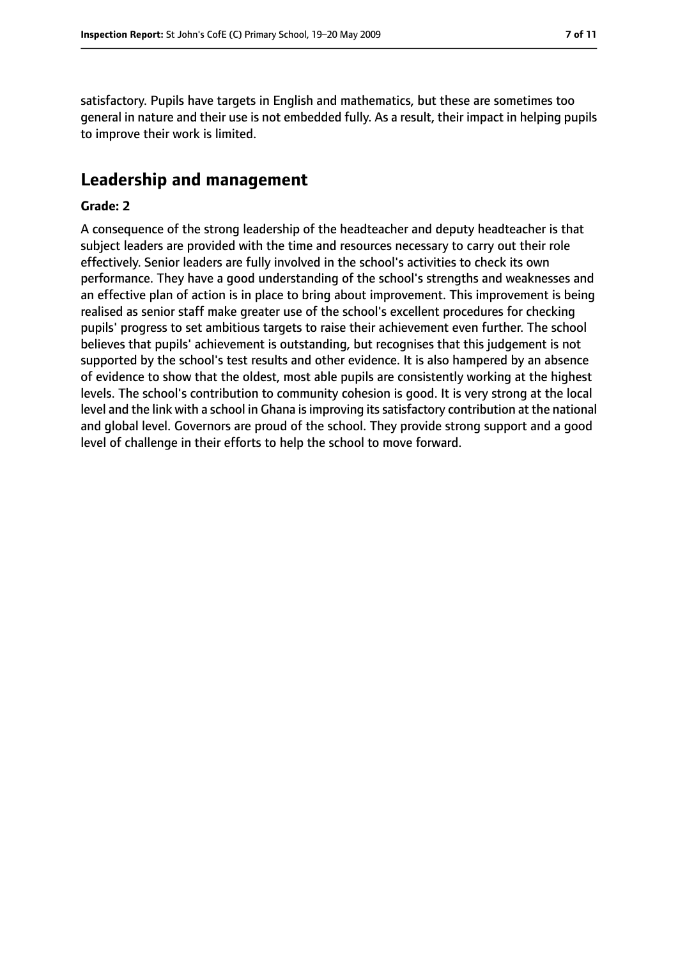satisfactory. Pupils have targets in English and mathematics, but these are sometimes too general in nature and their use is not embedded fully. As a result, their impact in helping pupils to improve their work is limited.

# **Leadership and management**

#### **Grade: 2**

A consequence of the strong leadership of the headteacher and deputy headteacher is that subject leaders are provided with the time and resources necessary to carry out their role effectively. Senior leaders are fully involved in the school's activities to check its own performance. They have a good understanding of the school's strengths and weaknesses and an effective plan of action is in place to bring about improvement. This improvement is being realised as senior staff make greater use of the school's excellent procedures for checking pupils' progress to set ambitious targets to raise their achievement even further. The school believes that pupils' achievement is outstanding, but recognises that this judgement is not supported by the school's test results and other evidence. It is also hampered by an absence of evidence to show that the oldest, most able pupils are consistently working at the highest levels. The school's contribution to community cohesion is good. It is very strong at the local level and the link with a school in Ghana is improving its satisfactory contribution at the national and global level. Governors are proud of the school. They provide strong support and a good level of challenge in their efforts to help the school to move forward.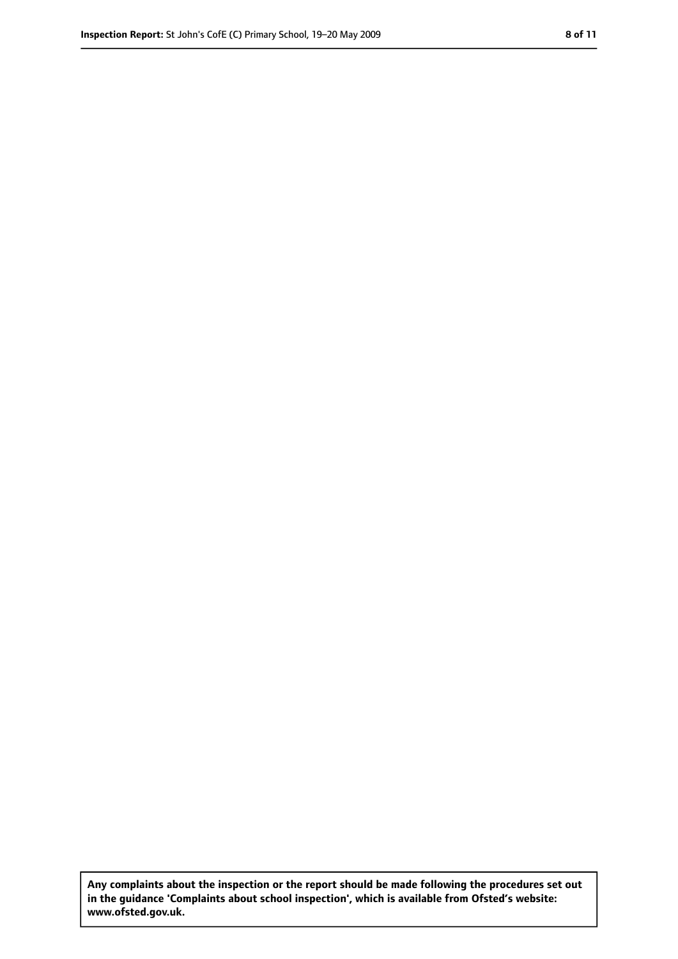**Any complaints about the inspection or the report should be made following the procedures set out in the guidance 'Complaints about school inspection', which is available from Ofsted's website: www.ofsted.gov.uk.**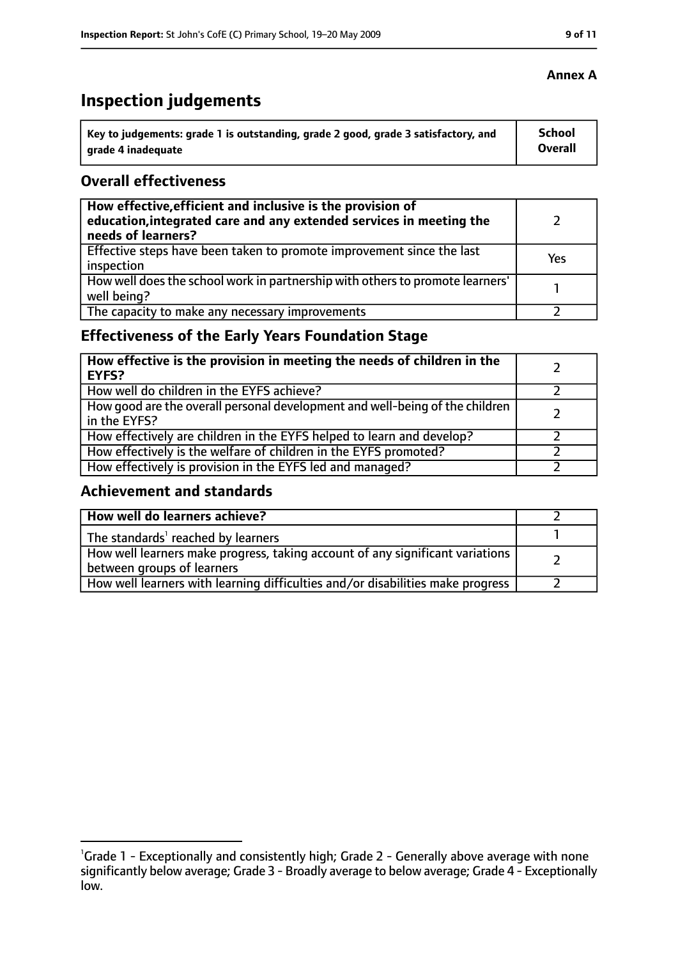# **Inspection judgements**

| Key to judgements: grade 1 is outstanding, grade 2 good, grade 3 satisfactory, and | School         |
|------------------------------------------------------------------------------------|----------------|
| grade 4 inadequate                                                                 | <b>Overall</b> |

#### **Overall effectiveness**

| How effective, efficient and inclusive is the provision of<br>education, integrated care and any extended services in meeting the<br>needs of learners? |     |
|---------------------------------------------------------------------------------------------------------------------------------------------------------|-----|
| Effective steps have been taken to promote improvement since the last<br>inspection                                                                     | Yes |
| How well does the school work in partnership with others to promote learners'<br>well being?                                                            |     |
| The capacity to make any necessary improvements                                                                                                         |     |

# **Effectiveness of the Early Years Foundation Stage**

| How effective is the provision in meeting the needs of children in the<br>EYFS?              |  |
|----------------------------------------------------------------------------------------------|--|
| How well do children in the EYFS achieve?                                                    |  |
| How good are the overall personal development and well-being of the children<br>in the EYFS? |  |
| How effectively are children in the EYFS helped to learn and develop?                        |  |
| How effectively is the welfare of children in the EYFS promoted?                             |  |
| How effectively is provision in the EYFS led and managed?                                    |  |

### **Achievement and standards**

| How well do learners achieve?                                                                               |  |
|-------------------------------------------------------------------------------------------------------------|--|
| The standards <sup>1</sup> reached by learners                                                              |  |
| How well learners make progress, taking account of any significant variations<br>between groups of learners |  |
| How well learners with learning difficulties and/or disabilities make progress                              |  |

#### **Annex A**

<sup>&</sup>lt;sup>1</sup>Grade 1 - Exceptionally and consistently high; Grade 2 - Generally above average with none significantly below average; Grade 3 - Broadly average to below average; Grade 4 - Exceptionally low.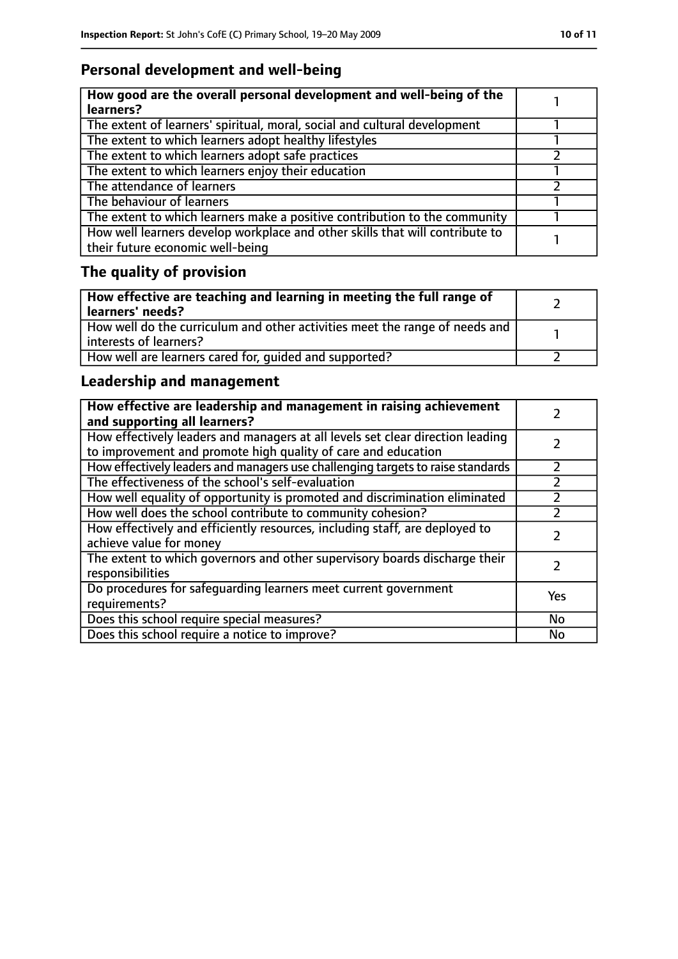# **Personal development and well-being**

| How good are the overall personal development and well-being of the<br>learners?                                 |  |
|------------------------------------------------------------------------------------------------------------------|--|
| The extent of learners' spiritual, moral, social and cultural development                                        |  |
| The extent to which learners adopt healthy lifestyles                                                            |  |
| The extent to which learners adopt safe practices                                                                |  |
| The extent to which learners enjoy their education                                                               |  |
| The attendance of learners                                                                                       |  |
| The behaviour of learners                                                                                        |  |
| The extent to which learners make a positive contribution to the community                                       |  |
| How well learners develop workplace and other skills that will contribute to<br>their future economic well-being |  |

# **The quality of provision**

| How effective are teaching and learning in meeting the full range of<br>learners' needs?              |  |
|-------------------------------------------------------------------------------------------------------|--|
| How well do the curriculum and other activities meet the range of needs and<br>interests of learners? |  |
| How well are learners cared for, quided and supported?                                                |  |

# **Leadership and management**

| How effective are leadership and management in raising achievement<br>and supporting all learners?                                              |     |
|-------------------------------------------------------------------------------------------------------------------------------------------------|-----|
| How effectively leaders and managers at all levels set clear direction leading<br>to improvement and promote high quality of care and education |     |
| How effectively leaders and managers use challenging targets to raise standards                                                                 |     |
| The effectiveness of the school's self-evaluation                                                                                               |     |
| How well equality of opportunity is promoted and discrimination eliminated                                                                      |     |
| How well does the school contribute to community cohesion?                                                                                      |     |
| How effectively and efficiently resources, including staff, are deployed to<br>achieve value for money                                          |     |
| The extent to which governors and other supervisory boards discharge their<br>responsibilities                                                  |     |
| Do procedures for safequarding learners meet current government<br>requirements?                                                                | Yes |
| Does this school require special measures?                                                                                                      | No  |
| Does this school require a notice to improve?                                                                                                   | No  |